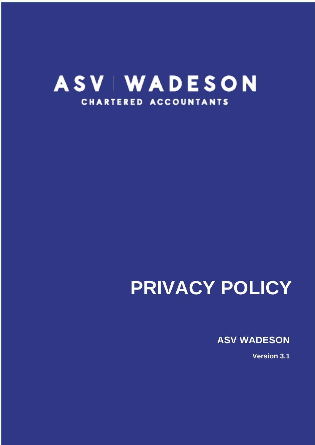## **ASV | WADESON CHARTERED ACCOUNTANTS**

# **PRIVACY POLICY**

**ASV WADESON**

**Version 3.1**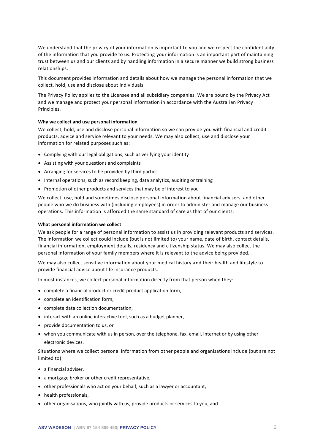We understand that the privacy of your information is important to you and we respect the confidentiality of the information that you provide to us. Protecting your information is an important part of maintaining trust between us and our clients and by handling information in a secure manner we build strong business relationships.

This document provides information and details about how we manage the personal information that we collect, hold, use and disclose about individuals.

The Privacy Policy applies to the Licensee and all subsidiary companies. We are bound by the Privacy Act and we manage and protect your personal information in accordance with the Austral ian Privacy Principles.

#### <span id="page-2-0"></span>**Why we collect and use personal information**

We collect, hold, use and disclose personal information so we can provide you with financial and credit products, advice and service relevant to your needs. We may also collect, use and disclose your information for related purposes such as:

- Complying with our legal obligations, such as verifying your identity
- Assisting with your questions and complaints
- Arranging for services to be provided by third parties
- Internal operations, such as record keeping, data analytics, auditing or training
- Promotion of other products and services that may be of interest to you

We collect, use, hold and sometimes disclose personal information about financial advisers, and other people who we do business with (including employees) in order to administer and manage our business operations. This information is afforded the same standard of care as that of our clients.

#### <span id="page-2-1"></span>**What personal information we collect**

We ask people for a range of personal information to assist us in providing relevant products and services. The information we collect could include (but is not limited to) your name, date of birth, contact details, financial information, employment details, residency and citizenship status. We may also collect the personal information of your family members where it is relevant to the advice being provided.

We may also collect sensitive information about your medical history and their health and lifestyle to provide financial advice about life insurance products.

In most instances, we collect personal information directly from that person when they:

- complete a financial product or credit product application form,
- complete an identification form,
- complete data collection documentation,
- interact with an online interactive tool, such as a budget planner,
- provide documentation to us, or
- when you communicate with us in person, over the telephone, fax, email, internet or by using other electronic devices.

Situations where we collect personal information from other people and organisations include (but are not limited to):

- a financial adviser,
- a mortgage broker or other credit representative,
- other professionals who act on your behalf, such as a lawyer or accountant,
- health professionals,
- other organisations, who jointly with us, provide products or services to you, and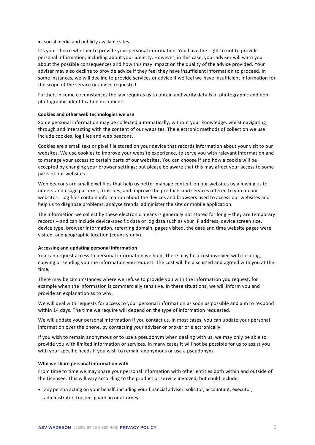• social media and publicly available sites.

It's your choice whether to provide your personal information. You have the right to not to provide personal information, including about your identity. However, in this case, your adviser will warn you about the possible consequences and how this may impact on the quality of the advice provided. Your adviser may also decline to provide advice if they feel they have insufficient information to proceed. In some instances, we will decline to provide services or advice if we feel we have insufficient information for the scope of the service or advice requested.

Further, in some circumstances the law requires us to obtain and verify details of photographic and non photographic identification documents.

#### <span id="page-3-0"></span>**Cookies and other web technologies we use**

Some personal information may be collected automatically, without your knowledge, whilst navigating through and interacting with the content of our websites. The electronic methods of collection we use include cookies, log files and web beacons.

Cookies are a small text or pixel file stored on your device that records information about your visit to our websites. We use cookies to improve your website experience, to serve you with relevant information and to manage your access to certain parts of our websites. You can choose if and how a cookie will be accepted by changing your browser settings; but please be aware that this may affect your access to some parts of our websites.

Web beacons are small pixel files that help us better manage content on our websites by allowing us to understand usage patterns, fix issues, and improve the products and services offered to you on our websites. Log files contain information about the devices and browsers used to access our websites and help us to diagnose problems, analyse trends, administer the site or mobile application.

The information we collect by these electronic means is generally not stored for long – they are temporary records – and can include device-specific data or log data such as your IP address, device screen size, device type, browser information, referring domain, pages visited, the date and time website pages were visited, and geographic location (country only).

#### <span id="page-3-1"></span>**Accessing and updating personal information**

You can request access to personal information we hold. There may be a cost involved with locating, copying or sending you the information you request. The cost will be discussed and agreed with you at the time.

There may be circumstances where we refuse to provide you with the information you request, for example when the information is commercially sensitive. In these situations, we will inform you and provide an explanation as to why.

We will deal with requests for access to your personal information as soon as possible and aim to respond within 14 days. The time we require will depend on the type of information requested.

We will update your personal information if you contact us. In most cases, you can update your personal information over the phone, by contacting your adviser or broker or electronically.

If you wish to remain anonymous or to use a pseudonym when dealing with us, we may only be able to provide you with limited information or services. In many cases it will not be possible for us to assist you with your specific needs if you wish to remain anonymous or use a pseudonym.

#### <span id="page-3-2"></span>**Who we share personal information with**

From time to time we may share your personal information with other entities both within and outside of the Licensee. This will vary according to the product or service involved, but could include:

• any person acting on your behalf, including your financial adviser, solicitor, accountant, executor, administrator, trustee, guardian or attorney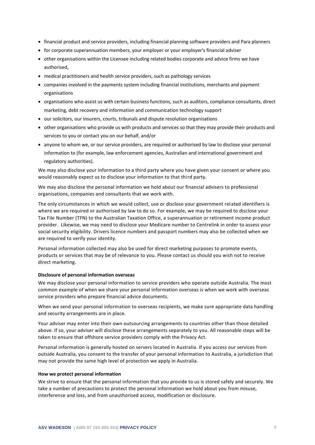- financial product and service providers, including financial planning software providers and Para planners
- for corporate superannuation members, your employer or your employer's financial adviser
- other organisations within the Licensee including related bodies corporate and advice firms we have authorised,
- medical practitioners and health service providers, such as pathology services
- companies involved in the payments system including financial institutions, merchants and payment organisations
- organisations who assist us with certain business functions, such as auditors, compliance consultants, direct marketing, debt recovery and information and communication technology support
- our solicitors, our insurers, courts, tribunals and dispute resolution organisations
- other organisations who provide us with products and services so that they may provide their products and services to you or contact you on our behalf, and/or
- anyone to whom we, or our service providers, are required or authorised by law to disclose your personal information to (for example, law enforcement agencies, Australian and international government and regulatory authorities).

We may also disclose your information to a third party where you have given your consent or where you would reasonably expect us to disclose your information to that third party.

We may also disclose the personal information we hold about our financial advisers to professional organisations, companies and consultants that we work with.

The only circumstances in which we would collect, use or disclose your government related identifiers is where we are required or authorised by law to do so. For example, we may be required to disclose your Tax File Number (TFN) to the Australian Taxation Office, a superannuation or retirement income product provider. Likewise, we may need to disclose your Medicare number to Centrelink in order to assess your social security eligibility. Drivers licence numbers and passport numbers may also be collected when we are required to verify your identity.

Personal information collected may also be used for direct marketing purposes to promote events, products or services that may be of relevance to you. Please contact us should you wish not to receive direct marketing.

#### <span id="page-4-0"></span>**Disclosure of personal information overseas**

We may disclose your personal information to service providers who operate outside Australia. The most common example of when we share your personal information overseas is when we work with overseas service providers who prepare financial advice documents.

When we send your personal information to overseas recipients, we make sure appropriate data handling and security arrangements are in place.

Your adviser may enter into their own outsourcing arrangements to countries other than those detailed above. If so, your adviser will disclose these arrangements separately to you. All reasonable steps will be taken to ensure that offshore service providers comply with the Privacy Act.

Personal information is generally hosted on servers located in Australia. If you access our services from outside Australia, you consent to the transfer of your personal information to Australia, a jurisdiction that may not provide the same high level of protection we apply in Australia.

#### <span id="page-4-1"></span>**How we protect personal information**

We strive to ensure that the personal information that you provide to us is stored safely and securely. We take a number of precautions to protect the personal information we hold about you from misuse, interference and loss, and from unauthorised access, modification or disclosure.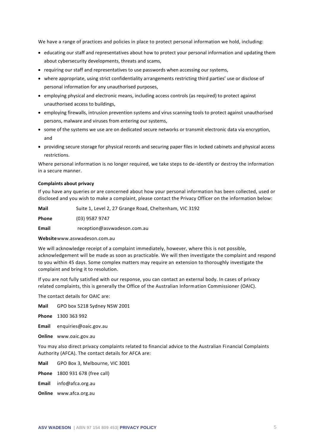We have a range of practices and policies in place to protect personal information we hold, including:

- educating our staff and representatives about how to protect your personal information and updating them about cybersecurity developments, threats and scams,
- requiring our staff and representatives to use passwords when accessing our systems,
- where appropriate, using strict confidentiality arrangements restricting third parties' use or disclose of personal information for any unauthorised purposes,
- employing physical and electronic means, including access controls (as required) to protect against unauthorised access to buildings,
- employing firewalls, intrusion prevention systems and virus scanning tools to protect against unauthorised persons, malware and viruses from entering our systems,
- some of the systems we use are on dedicated secure networks or transmit electronic data via encryption, and
- providing secure storage for physical records and securing paper files in locked cabinets and physical access restrictions.

Where personal information is no longer required, we take steps to de-identify or destroy the information in a secure manner.

#### <span id="page-5-0"></span>**Complaints about privacy**

If you have any queries or are concerned about how your personal information has been collected, used or disclosed and you wish to make a complaint, please contact the Privacy Officer on the information below:

**Mail** Suite 1, Level 2, 27 Grange Road, Cheltenham, VIC 3192

**Phone** (03) 9587 9747

**Email** reception@asvwadeson.com.au

**Website**www.asvwadeson.com.au

We will acknowledge receipt of a complaint immediately, however, where this is not possible, acknowledgement will be made as soon as practicable. We will then investigate the complaint and respond to you within 45 days. Some complex matters may require an extension to thoroughly investigate the complaint and bring it to resolution.

If you are not fully satisfied with our response, you can contact an external body. In cases of privacy related complaints, this is generally the Office of the Australian Information Commissioner (OAIC).

The contact details for OAIC are:

**Mail** GPO box 5218 Sydney NSW 2001

**Phone** 1300 363 992

**Email** enquiries@oaic.gov.au

**Online** www.oaic.gov.au

You may also direct privacy complaints related to financial advice to the Australian Financial Complaints Authority (AFCA). The contact details for AFCA are:

**Mail** GPO Box 3, Melbourne, VIC 3001

**Phone** 1800 931 678 (free call)

**Email** info@afca.org.au

**Online** www.afca.org.au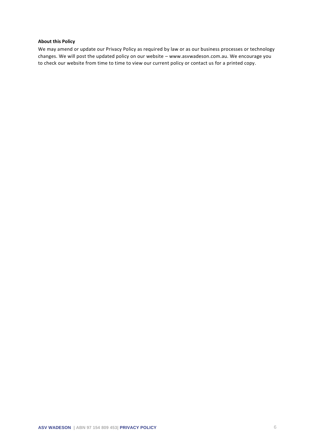#### <span id="page-6-0"></span>**About this Policy**

We may amend or update our Privacy Policy as required by law or as our business processes or technology changes. We will post the updated policy on our website – www.asvwadeson.com.au. We encourage you to check our website from time to time to view our current policy or contact us for a printed copy.